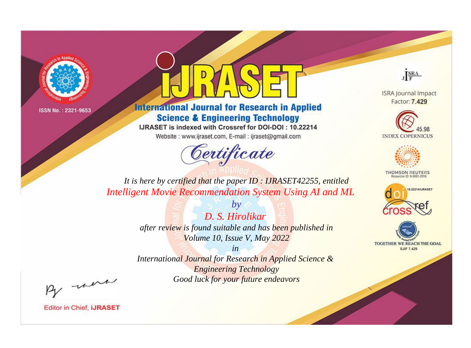



**International Journal for Research in Applied Science & Engineering Technology** 

IJRASET is indexed with Crossref for DOI-DOI: 10.22214

Website: www.ijraset.com, E-mail: ijraset@gmail.com



JERA

**ISRA Journal Impact** Factor: 7.429





**THOMSON REUTERS** 



TOGETHER WE REACH THE GOAL **SJIF 7.429** 

*It is here by certified that the paper ID : IJRASET42255, entitled Intelligent Movie Recommendation System Using AI and ML*

> *by D. S. Hirolikar after review is found suitable and has been published in Volume 10, Issue V, May 2022*

> > *in*

*International Journal for Research in Applied Science & Engineering Technology Good luck for your future endeavors*

By morn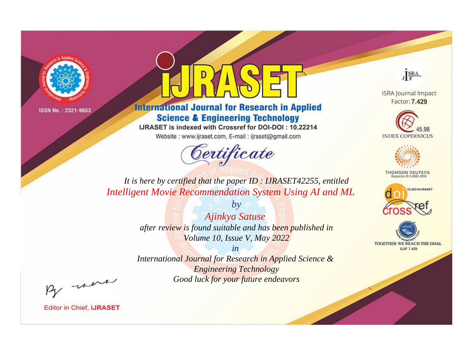



**International Journal for Research in Applied Science & Engineering Technology** 

IJRASET is indexed with Crossref for DOI-DOI: 10.22214

Website: www.ijraset.com, E-mail: ijraset@gmail.com



JERA

**ISRA Journal Impact** Factor: 7.429





**THOMSON REUTERS** 



TOGETHER WE REACH THE GOAL **SJIF 7.429** 

*It is here by certified that the paper ID : IJRASET42255, entitled Intelligent Movie Recommendation System Using AI and ML*

> *by Ajinkya Satuse after review is found suitable and has been published in Volume 10, Issue V, May 2022*

> > *in*

*International Journal for Research in Applied Science & Engineering Technology Good luck for your future endeavors*

By morn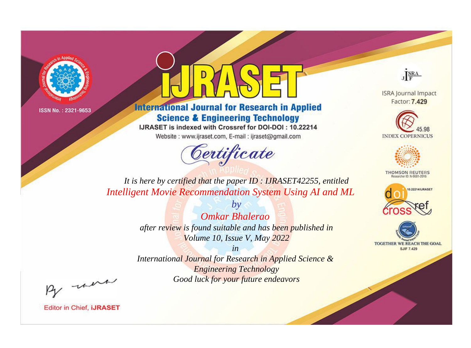



**International Journal for Research in Applied Science & Engineering Technology** 

IJRASET is indexed with Crossref for DOI-DOI: 10.22214

Website: www.ijraset.com, E-mail: ijraset@gmail.com



JERA

**ISRA Journal Impact** Factor: 7.429





**THOMSON REUTERS** 



TOGETHER WE REACH THE GOAL **SJIF 7.429** 

*It is here by certified that the paper ID : IJRASET42255, entitled Intelligent Movie Recommendation System Using AI and ML*

> *by Omkar Bhalerao after review is found suitable and has been published in Volume 10, Issue V, May 2022*

> > *in*

*International Journal for Research in Applied Science & Engineering Technology Good luck for your future endeavors*

By morn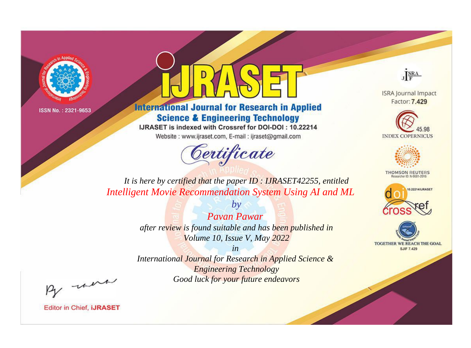



**International Journal for Research in Applied Science & Engineering Technology** 

IJRASET is indexed with Crossref for DOI-DOI: 10.22214

Website: www.ijraset.com, E-mail: ijraset@gmail.com



JERA

**ISRA Journal Impact** Factor: 7.429





**THOMSON REUTERS** 



TOGETHER WE REACH THE GOAL **SJIF 7.429** 

*It is here by certified that the paper ID : IJRASET42255, entitled Intelligent Movie Recommendation System Using AI and ML*

> *Pavan Pawar after review is found suitable and has been published in Volume 10, Issue V, May 2022*

*by*

*in* 

*International Journal for Research in Applied Science & Engineering Technology Good luck for your future endeavors*

By morn